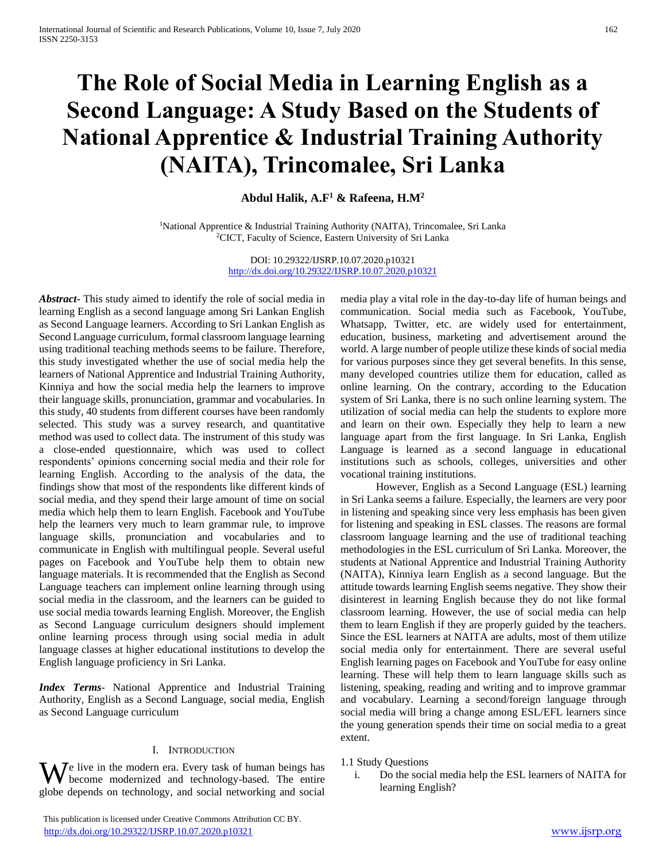# **The Role of Social Media in Learning English as a Second Language: A Study Based on the Students of National Apprentice & Industrial Training Authority (NAITA), Trincomalee, Sri Lanka**

# **Abdul Halik, A.F<sup>1</sup> & Rafeena, H.M<sup>2</sup>**

<sup>1</sup>National Apprentice & Industrial Training Authority (NAITA), Trincomalee, Sri Lanka <sup>2</sup>CICT, Faculty of Science, Eastern University of Sri Lanka

> DOI: 10.29322/IJSRP.10.07.2020.p10321 <http://dx.doi.org/10.29322/IJSRP.10.07.2020.p10321>

*Abstract***-** This study aimed to identify the role of social media in learning English as a second language among Sri Lankan English as Second Language learners. According to Sri Lankan English as Second Language curriculum, formal classroom language learning using traditional teaching methods seems to be failure. Therefore, this study investigated whether the use of social media help the learners of National Apprentice and Industrial Training Authority, Kinniya and how the social media help the learners to improve their language skills, pronunciation, grammar and vocabularies. In this study, 40 students from different courses have been randomly selected. This study was a survey research, and quantitative method was used to collect data. The instrument of this study was a close-ended questionnaire, which was used to collect respondents' opinions concerning social media and their role for learning English. According to the analysis of the data, the findings show that most of the respondents like different kinds of social media, and they spend their large amount of time on social media which help them to learn English. Facebook and YouTube help the learners very much to learn grammar rule, to improve language skills, pronunciation and vocabularies and to communicate in English with multilingual people. Several useful pages on Facebook and YouTube help them to obtain new language materials. It is recommended that the English as Second Language teachers can implement online learning through using social media in the classroom, and the learners can be guided to use social media towards learning English. Moreover, the English as Second Language curriculum designers should implement online learning process through using social media in adult language classes at higher educational institutions to develop the English language proficiency in Sri Lanka.

*Index Terms*- National Apprentice and Industrial Training Authority, English as a Second Language, social media, English as Second Language curriculum

#### I. INTRODUCTION

 $\mathbf{W}$ e live in the modern era. Every task of human beings has  $\frac{1.1 \text{ Study Questions}}{1.1 \text{ Not of the social media help the ESL learners of NATTA for a red encoding.}}$ become modernized and technology-based. The entire globe depends on technology, and social networking and social

 This publication is licensed under Creative Commons Attribution CC BY. <http://dx.doi.org/10.29322/IJSRP.10.07.2020.p10321> [www.ijsrp.org](http://ijsrp.org/)

media play a vital role in the day-to-day life of human beings and communication. Social media such as Facebook, YouTube, Whatsapp, Twitter, etc. are widely used for entertainment, education, business, marketing and advertisement around the world. A large number of people utilize these kinds of social media for various purposes since they get several benefits. In this sense, many developed countries utilize them for education, called as online learning. On the contrary, according to the Education system of Sri Lanka, there is no such online learning system. The utilization of social media can help the students to explore more and learn on their own. Especially they help to learn a new language apart from the first language. In Sri Lanka, English Language is learned as a second language in educational institutions such as schools, colleges, universities and other vocational training institutions.

 However, English as a Second Language (ESL) learning in Sri Lanka seems a failure. Especially, the learners are very poor in listening and speaking since very less emphasis has been given for listening and speaking in ESL classes. The reasons are formal classroom language learning and the use of traditional teaching methodologies in the ESL curriculum of Sri Lanka. Moreover, the students at National Apprentice and Industrial Training Authority (NAITA), Kinniya learn English as a second language. But the attitude towards learning English seems negative. They show their disinterest in learning English because they do not like formal classroom learning. However, the use of social media can help them to learn English if they are properly guided by the teachers. Since the ESL learners at NAITA are adults, most of them utilize social media only for entertainment. There are several useful English learning pages on Facebook and YouTube for easy online learning. These will help them to learn language skills such as listening, speaking, reading and writing and to improve grammar and vocabulary. Learning a second/foreign language through social media will bring a change among ESL/EFL learners since the young generation spends their time on social media to a great extent.

# 1.1 Study Questions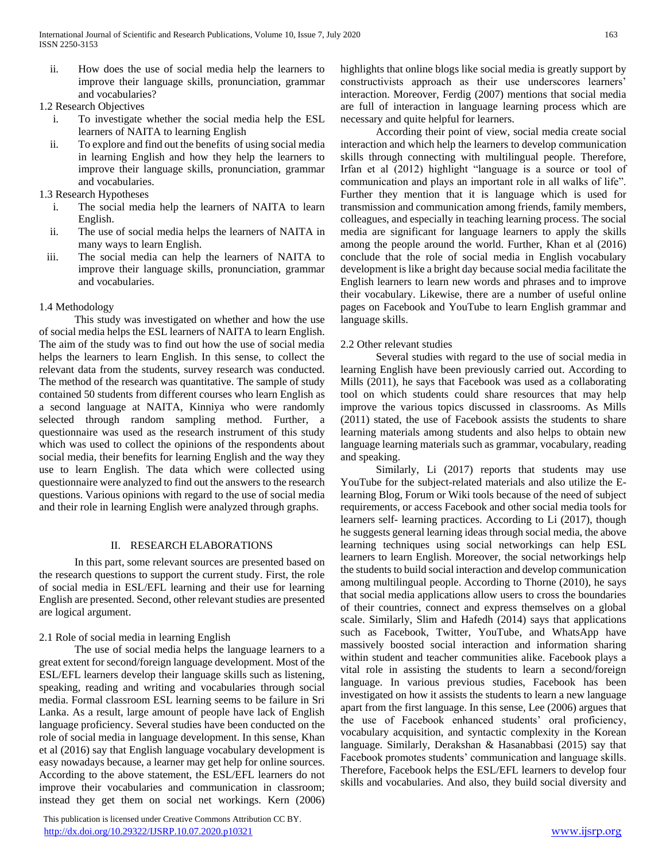- ii. How does the use of social media help the learners to improve their language skills, pronunciation, grammar and vocabularies?
- 1.2 Research Objectives
	- i. To investigate whether the social media help the ESL learners of NAITA to learning English
	- ii. To explore and find out the benefits of using social media in learning English and how they help the learners to improve their language skills, pronunciation, grammar and vocabularies.
- 1.3 Research Hypotheses
	- i. The social media help the learners of NAITA to learn English.
	- ii. The use of social media helps the learners of NAITA in many ways to learn English.
- iii. The social media can help the learners of NAITA to improve their language skills, pronunciation, grammar and vocabularies.

# 1.4 Methodology

 This study was investigated on whether and how the use of social media helps the ESL learners of NAITA to learn English. The aim of the study was to find out how the use of social media helps the learners to learn English. In this sense, to collect the relevant data from the students, survey research was conducted. The method of the research was quantitative. The sample of study contained 50 students from different courses who learn English as a second language at NAITA, Kinniya who were randomly selected through random sampling method. Further, a questionnaire was used as the research instrument of this study which was used to collect the opinions of the respondents about social media, their benefits for learning English and the way they use to learn English. The data which were collected using questionnaire were analyzed to find out the answers to the research questions. Various opinions with regard to the use of social media and their role in learning English were analyzed through graphs.

# II. RESEARCH ELABORATIONS

 In this part, some relevant sources are presented based on the research questions to support the current study. First, the role of social media in ESL/EFL learning and their use for learning English are presented. Second, other relevant studies are presented are logical argument.

# 2.1 Role of social media in learning English

 The use of social media helps the language learners to a great extent for second/foreign language development. Most of the ESL/EFL learners develop their language skills such as listening, speaking, reading and writing and vocabularies through social media. Formal classroom ESL learning seems to be failure in Sri Lanka. As a result, large amount of people have lack of English language proficiency. Several studies have been conducted on the role of social media in language development. In this sense, Khan et al (2016) say that English language vocabulary development is easy nowadays because, a learner may get help for online sources. According to the above statement, the ESL/EFL learners do not improve their vocabularies and communication in classroom; instead they get them on social net workings. Kern (2006)

 This publication is licensed under Creative Commons Attribution CC BY. <http://dx.doi.org/10.29322/IJSRP.10.07.2020.p10321> [www.ijsrp.org](http://ijsrp.org/)

highlights that online blogs like social media is greatly support by constructivists approach as their use underscores learners' interaction. Moreover, Ferdig (2007) mentions that social media are full of interaction in language learning process which are necessary and quite helpful for learners.

 According their point of view, social media create social interaction and which help the learners to develop communication skills through connecting with multilingual people. Therefore, Irfan et al (2012) highlight "language is a source or tool of communication and plays an important role in all walks of life". Further they mention that it is language which is used for transmission and communication among friends, family members, colleagues, and especially in teaching learning process. The social media are significant for language learners to apply the skills among the people around the world. Further, Khan et al (2016) conclude that the role of social media in English vocabulary development is like a bright day because social media facilitate the English learners to learn new words and phrases and to improve their vocabulary. Likewise, there are a number of useful online pages on Facebook and YouTube to learn English grammar and language skills.

# 2.2 Other relevant studies

 Several studies with regard to the use of social media in learning English have been previously carried out. According to Mills (2011), he says that Facebook was used as a collaborating tool on which students could share resources that may help improve the various topics discussed in classrooms. As Mills (2011) stated, the use of Facebook assists the students to share learning materials among students and also helps to obtain new language learning materials such as grammar, vocabulary, reading and speaking.

 Similarly, Li (2017) reports that students may use YouTube for the subject-related materials and also utilize the Elearning Blog, Forum or Wiki tools because of the need of subject requirements, or access Facebook and other social media tools for learners self- learning practices. According to Li (2017), though he suggests general learning ideas through social media, the above learning techniques using social networkings can help ESL learners to learn English. Moreover, the social networkings help the students to build social interaction and develop communication among multilingual people. According to Thorne (2010), he says that social media applications allow users to cross the boundaries of their countries, connect and express themselves on a global scale. Similarly, Slim and Hafedh (2014) says that applications such as Facebook, Twitter, YouTube, and WhatsApp have massively boosted social interaction and information sharing within student and teacher communities alike. Facebook plays a vital role in assisting the students to learn a second/foreign language. In various previous studies, Facebook has been investigated on how it assists the students to learn a new language apart from the first language. In this sense, Lee (2006) argues that the use of Facebook enhanced students' oral proficiency, vocabulary acquisition, and syntactic complexity in the Korean language. Similarly, Derakshan & Hasanabbasi (2015) say that Facebook promotes students' communication and language skills. Therefore, Facebook helps the ESL/EFL learners to develop four skills and vocabularies. And also, they build social diversity and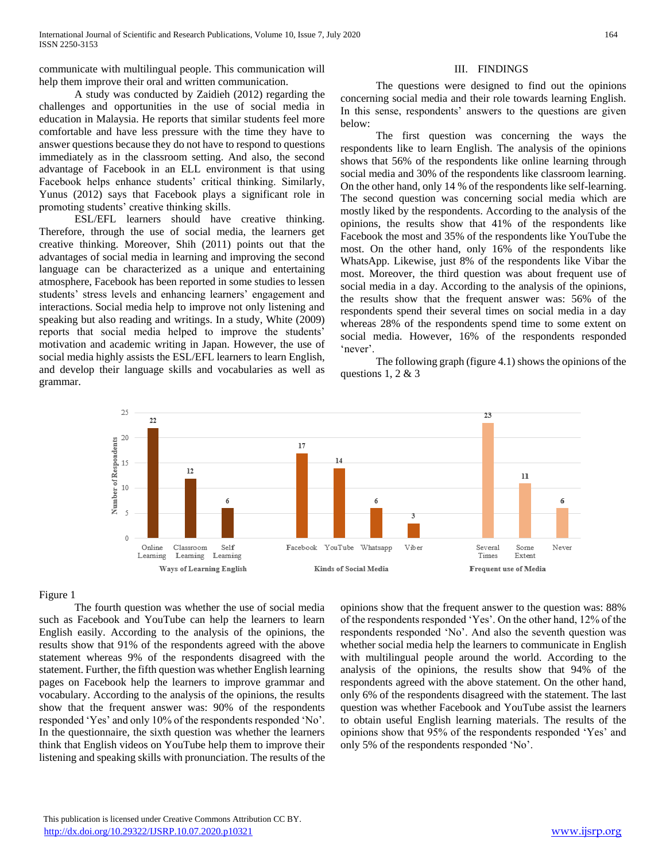communicate with multilingual people. This communication will help them improve their oral and written communication.

# A study was conducted by Zaidieh (2012) regarding the challenges and opportunities in the use of social media in education in Malaysia. He reports that similar students feel more comfortable and have less pressure with the time they have to answer questions because they do not have to respond to questions immediately as in the classroom setting. And also, the second advantage of Facebook in an ELL environment is that using Facebook helps enhance students' critical thinking. Similarly, Yunus (2012) says that Facebook plays a significant role in promoting students' creative thinking skills.

 ESL/EFL learners should have creative thinking. Therefore, through the use of social media, the learners get creative thinking. Moreover, Shih (2011) points out that the advantages of social media in learning and improving the second language can be characterized as a unique and entertaining atmosphere, Facebook has been reported in some studies to lessen students' stress levels and enhancing learners' engagement and interactions. Social media help to improve not only listening and speaking but also reading and writings. In a study, White (2009) reports that social media helped to improve the students' motivation and academic writing in Japan. However, the use of social media highly assists the ESL/EFL learners to learn English, and develop their language skills and vocabularies as well as grammar.

### III. FINDINGS

 The questions were designed to find out the opinions concerning social media and their role towards learning English. In this sense, respondents' answers to the questions are given below:

 The first question was concerning the ways the respondents like to learn English. The analysis of the opinions shows that 56% of the respondents like online learning through social media and 30% of the respondents like classroom learning. On the other hand, only 14 % of the respondents like self-learning. The second question was concerning social media which are mostly liked by the respondents. According to the analysis of the opinions, the results show that 41% of the respondents like Facebook the most and 35% of the respondents like YouTube the most. On the other hand, only 16% of the respondents like WhatsApp. Likewise, just 8% of the respondents like Vibar the most. Moreover, the third question was about frequent use of social media in a day. According to the analysis of the opinions, the results show that the frequent answer was: 56% of the respondents spend their several times on social media in a day whereas 28% of the respondents spend time to some extent on social media. However, 16% of the respondents responded 'never'.

 The following graph (figure 4.1) shows the opinions of the questions 1, 2  $&$  3



#### Figure 1

 The fourth question was whether the use of social media such as Facebook and YouTube can help the learners to learn English easily. According to the analysis of the opinions, the results show that 91% of the respondents agreed with the above statement whereas 9% of the respondents disagreed with the statement. Further, the fifth question was whether English learning pages on Facebook help the learners to improve grammar and vocabulary. According to the analysis of the opinions, the results show that the frequent answer was: 90% of the respondents responded 'Yes' and only 10% of the respondents responded 'No'. In the questionnaire, the sixth question was whether the learners think that English videos on YouTube help them to improve their listening and speaking skills with pronunciation. The results of the opinions show that the frequent answer to the question was: 88% of the respondents responded 'Yes'. On the other hand, 12% of the respondents responded 'No'. And also the seventh question was whether social media help the learners to communicate in English with multilingual people around the world. According to the analysis of the opinions, the results show that 94% of the respondents agreed with the above statement. On the other hand, only 6% of the respondents disagreed with the statement. The last question was whether Facebook and YouTube assist the learners to obtain useful English learning materials. The results of the opinions show that 95% of the respondents responded 'Yes' and only 5% of the respondents responded 'No'.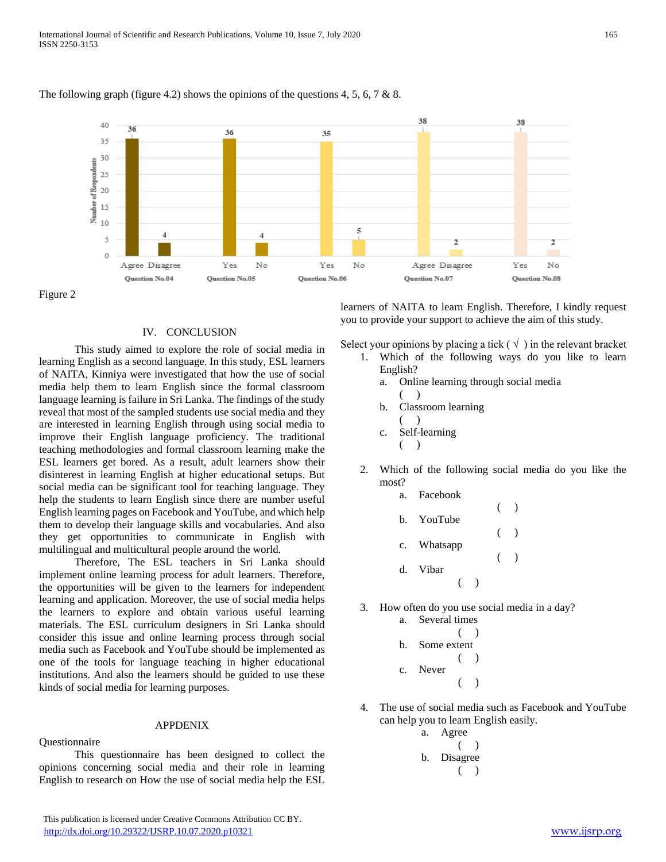

#### The following graph (figure 4.2) shows the opinions of the questions 4, 5, 6, 7 & 8.

Figure 2

#### IV. CONCLUSION

 This study aimed to explore the role of social media in learning English as a second language. In this study, ESL learners of NAITA, Kinniya were investigated that how the use of social media help them to learn English since the formal classroom language learning is failure in Sri Lanka. The findings of the study reveal that most of the sampled students use social media and they are interested in learning English through using social media to improve their English language proficiency. The traditional teaching methodologies and formal classroom learning make the ESL learners get bored. As a result, adult learners show their disinterest in learning English at higher educational setups. But social media can be significant tool for teaching language. They help the students to learn English since there are number useful English learning pages on Facebook and YouTube, and which help them to develop their language skills and vocabularies. And also they get opportunities to communicate in English with multilingual and multicultural people around the world.

 Therefore, The ESL teachers in Sri Lanka should implement online learning process for adult learners. Therefore, the opportunities will be given to the learners for independent learning and application. Moreover, the use of social media helps the learners to explore and obtain various useful learning materials. The ESL curriculum designers in Sri Lanka should consider this issue and online learning process through social media such as Facebook and YouTube should be implemented as one of the tools for language teaching in higher educational institutions. And also the learners should be guided to use these kinds of social media for learning purposes.

#### APPDENIX

Questionnaire

 This questionnaire has been designed to collect the opinions concerning social media and their role in learning English to research on How the use of social media help the ESL

This publication is licensed under Creative Commons Attribution CC BY.

learners of NAITA to learn English. Therefore, I kindly request you to provide your support to achieve the aim of this study.

Select your opinions by placing a tick  $(\sqrt{\ } )$  in the relevant bracket

- 1. Which of the following ways do you like to learn English?
	- a. Online learning through social media
		- $($  )
	- b. Classroom learning
	- $($ ) c. Self-learning
	- $($
- 2. Which of the following social media do you like the most?
	- a. Facebook ( ) b. YouTube ( ) c. Whatsapp ( ) d. Vibar  $($ )
- 3. How often do you use social media in a day?

a. Several times ( ) b. Some extent ( ) c. Never ( )

- 4. The use of social media such as Facebook and YouTube can help you to learn English easily.
	- a. Agree  $($ b. Disagree  $($   $)$